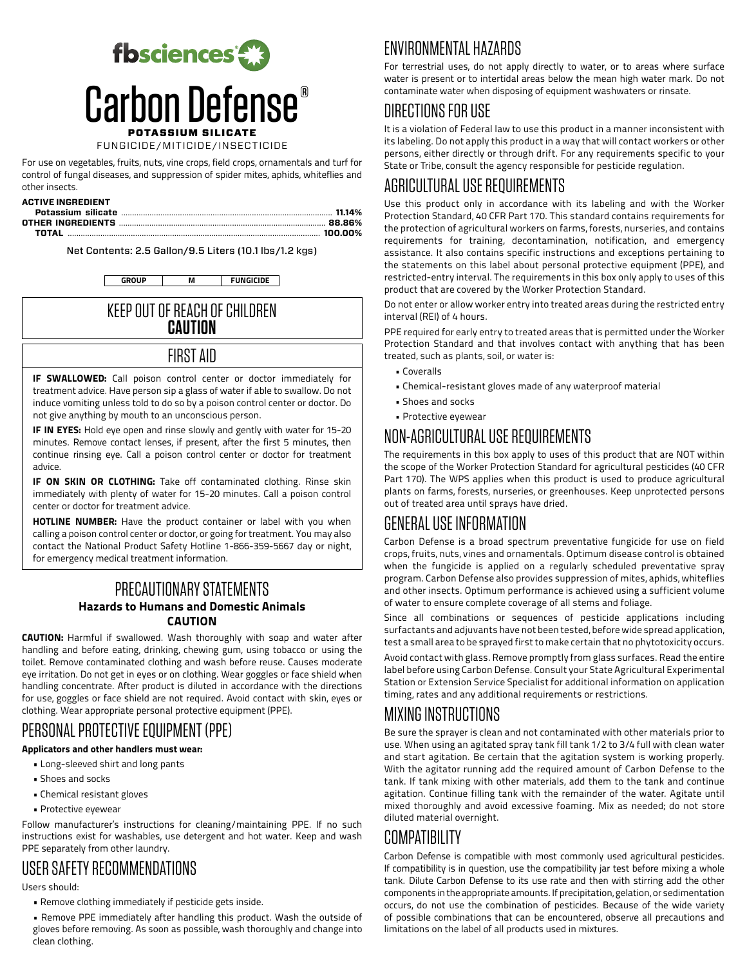

FUNGICIDE/MITICIDE/INSECTICIDE

For use on vegetables, fruits, nuts, vine crops, field crops, ornamentals and turf for control of fungal diseases, and suppression of spider mites, aphids, whiteflies and other insects.

#### **ACTIVE INGREDIENT**

Net Contents: 2.5 Gallon/9.5 Liters (10.1 lbs/1.2 kgs)

**GROUP M FUNGICIDE**

#### KEEP OUT OF REACH OF CHILDREN **CAUTION**

#### FIRST AID

**IF SWALLOWED:** Call poison control center or doctor immediately for treatment advice. Have person sip a glass of water if able to swallow. Do not induce vomiting unless told to do so by a poison control center or doctor. Do not give anything by mouth to an unconscious person.

**IF IN EYES:** Hold eye open and rinse slowly and gently with water for 15-20 minutes. Remove contact lenses, if present, after the first 5 minutes, then continue rinsing eye. Call a poison control center or doctor for treatment advice.

**IF ON SKIN OR CLOTHING:** Take off contaminated clothing. Rinse skin immediately with plenty of water for 15-20 minutes. Call a poison control center or doctor for treatment advice.

**HOTLINE NUMBER:** Have the product container or label with you when calling a poison control center or doctor, or going for treatment. You may also contact the National Product Safety Hotline 1-866-359-5667 day or night, for emergency medical treatment information.

#### PRECAUTIONARY STATEMENTS **Hazards to Humans and Domestic Animals CAUTION**

**CAUTION:** Harmful if swallowed. Wash thoroughly with soap and water after handling and before eating, drinking, chewing gum, using tobacco or using the toilet. Remove contaminated clothing and wash before reuse. Causes moderate eye irritation. Do not get in eyes or on clothing. Wear goggles or face shield when handling concentrate. After product is diluted in accordance with the directions for use, goggles or face shield are not required. Avoid contact with skin, eyes or clothing. Wear appropriate personal protective equipment (PPE).

# PERSONAL PROTECTIVE EQUIPMENT (PPE)

#### **Applicators and other handlers must wear:**

- Long-sleeved shirt and long pants
- Shoes and socks
- Chemical resistant gloves
- Protective eyewear

Follow manufacturer's instructions for cleaning/maintaining PPE. If no such instructions exist for washables, use detergent and hot water. Keep and wash PPE separately from other laundry.

## USER SAFETY RECOMMENDATIONS

Users should:

• Remove clothing immediately if pesticide gets inside.

• Remove PPE immediately after handling this product. Wash the outside of gloves before removing. As soon as possible, wash thoroughly and change into clean clothing.

# ENVIRONMENTAL HAZARDS

For terrestrial uses, do not apply directly to water, or to areas where surface water is present or to intertidal areas below the mean high water mark. Do not contaminate water when disposing of equipment washwaters or rinsate.

## DIRECTIONS FOR USE

It is a violation of Federal law to use this product in a manner inconsistent with its labeling. Do not apply this product in a way that will contact workers or other persons, either directly or through drift. For any requirements specific to your State or Tribe, consult the agency responsible for pesticide regulation.

# AGRICULTURAL USE REQUIREMENTS

Use this product only in accordance with its labeling and with the Worker Protection Standard, 40 CFR Part 170. This standard contains requirements for the protection of agricultural workers on farms, forests, nurseries, and contains requirements for training, decontamination, notification, and emergency assistance. It also contains specific instructions and exceptions pertaining to the statements on this label about personal protective equipment (PPE), and restricted-entry interval. The requirements in this box only apply to uses of this product that are covered by the Worker Protection Standard.

Do not enter or allow worker entry into treated areas during the restricted entry interval (REI) of 4 hours.

PPE required for early entry to treated areas that is permitted under the Worker Protection Standard and that involves contact with anything that has been treated, such as plants, soil, or water is:

- Coveralls
- Chemical-resistant gloves made of any waterproof material
- Shoes and socks
- Protective eyewear

# NON-AGRICULTURAL USE REQUIREMENTS

The requirements in this box apply to uses of this product that are NOT within the scope of the Worker Protection Standard for agricultural pesticides (40 CFR Part 170). The WPS applies when this product is used to produce agricultural plants on farms, forests, nurseries, or greenhouses. Keep unprotected persons out of treated area until sprays have dried.

# GENERAL USE INFORMATION

Carbon Defense is a broad spectrum preventative fungicide for use on field crops, fruits, nuts, vines and ornamentals. Optimum disease control is obtained when the fungicide is applied on a regularly scheduled preventative spray program. Carbon Defense also provides suppression of mites, aphids, whiteflies and other insects. Optimum performance is achieved using a sufficient volume of water to ensure complete coverage of all stems and foliage.

Since all combinations or sequences of pesticide applications including surfactants and adjuvants have not been tested, before wide spread application, test a small area to be sprayed first to make certain that no phytotoxicity occurs.

Avoid contact with glass. Remove promptly from glass surfaces. Read the entire label before using Carbon Defense. Consult your State Agricultural Experimental Station or Extension Service Specialist for additional information on application timing, rates and any additional requirements or restrictions.

## MIXING INSTRUCTIONS

Be sure the sprayer is clean and not contaminated with other materials prior to use. When using an agitated spray tank fill tank 1/2 to 3/4 full with clean water and start agitation. Be certain that the agitation system is working properly. With the agitator running add the required amount of Carbon Defense to the tank. If tank mixing with other materials, add them to the tank and continue agitation. Continue filling tank with the remainder of the water. Agitate until mixed thoroughly and avoid excessive foaming. Mix as needed; do not store diluted material overnight.

# COMPATIBILITY

Carbon Defense is compatible with most commonly used agricultural pesticides. If compatibility is in question, use the compatibility jar test before mixing a whole tank. Dilute Carbon Defense to its use rate and then with stirring add the other components in the appropriate amounts. If precipitation, gelation, or sedimentation occurs, do not use the combination of pesticides. Because of the wide variety of possible combinations that can be encountered, observe all precautions and limitations on the label of all products used in mixtures.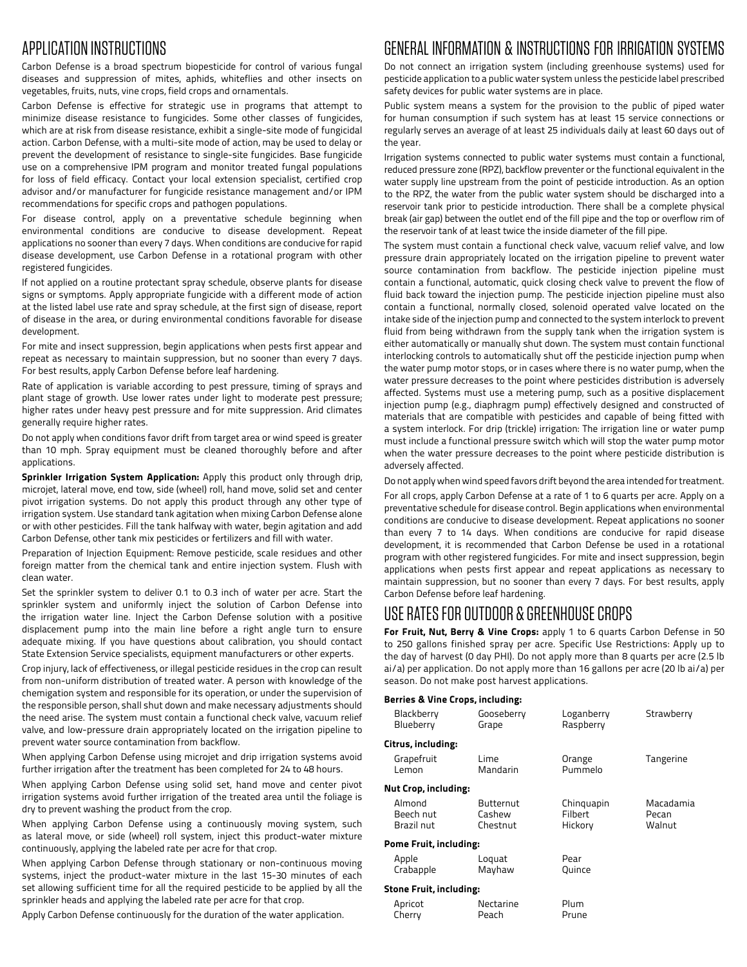# APPLICATION INSTRUCTIONS

Carbon Defense is a broad spectrum biopesticide for control of various fungal diseases and suppression of mites, aphids, whiteflies and other insects on vegetables, fruits, nuts, vine crops, field crops and ornamentals.

Carbon Defense is effective for strategic use in programs that attempt to minimize disease resistance to fungicides. Some other classes of fungicides, which are at risk from disease resistance, exhibit a single-site mode of fungicidal action. Carbon Defense, with a multi-site mode of action, may be used to delay or prevent the development of resistance to single-site fungicides. Base fungicide use on a comprehensive IPM program and monitor treated fungal populations for loss of field efficacy. Contact your local extension specialist, certified crop advisor and/or manufacturer for fungicide resistance management and/or IPM recommendations for specific crops and pathogen populations.

For disease control, apply on a preventative schedule beginning when environmental conditions are conducive to disease development. Repeat applications no sooner than every 7 days. When conditions are conducive for rapid disease development, use Carbon Defense in a rotational program with other registered fungicides.

If not applied on a routine protectant spray schedule, observe plants for disease signs or symptoms. Apply appropriate fungicide with a different mode of action at the listed label use rate and spray schedule, at the first sign of disease, report of disease in the area, or during environmental conditions favorable for disease development.

For mite and insect suppression, begin applications when pests first appear and repeat as necessary to maintain suppression, but no sooner than every 7 days. For best results, apply Carbon Defense before leaf hardening.

Rate of application is variable according to pest pressure, timing of sprays and plant stage of growth. Use lower rates under light to moderate pest pressure; higher rates under heavy pest pressure and for mite suppression. Arid climates generally require higher rates.

Do not apply when conditions favor drift from target area or wind speed is greater than 10 mph. Spray equipment must be cleaned thoroughly before and after applications.

**Sprinkler Irrigation System Application:** Apply this product only through drip, microjet, lateral move, end tow, side (wheel) roll, hand move, solid set and center pivot irrigation systems. Do not apply this product through any other type of irrigation system. Use standard tank agitation when mixing Carbon Defense alone or with other pesticides. Fill the tank halfway with water, begin agitation and add Carbon Defense, other tank mix pesticides or fertilizers and fill with water.

Preparation of Injection Equipment: Remove pesticide, scale residues and other foreign matter from the chemical tank and entire injection system. Flush with clean water.

Set the sprinkler system to deliver 0.1 to 0.3 inch of water per acre. Start the sprinkler system and uniformly inject the solution of Carbon Defense into the irrigation water line. Inject the Carbon Defense solution with a positive displacement pump into the main line before a right angle turn to ensure adequate mixing. If you have questions about calibration, you should contact State Extension Service specialists, equipment manufacturers or other experts.

Crop injury, lack of effectiveness, or illegal pesticide residues in the crop can result from non-uniform distribution of treated water. A person with knowledge of the chemigation system and responsible for its operation, or under the supervision of the responsible person, shall shut down and make necessary adjustments should the need arise. The system must contain a functional check valve, vacuum relief valve, and low-pressure drain appropriately located on the irrigation pipeline to prevent water source contamination from backflow.

When applying Carbon Defense using microjet and drip irrigation systems avoid further irrigation after the treatment has been completed for 24 to 48 hours.

When applying Carbon Defense using solid set, hand move and center pivot irrigation systems avoid further irrigation of the treated area until the foliage is dry to prevent washing the product from the crop.

When applying Carbon Defense using a continuously moving system, such as lateral move, or side (wheel) roll system, inject this product-water mixture continuously, applying the labeled rate per acre for that crop.

When applying Carbon Defense through stationary or non-continuous moving systems, inject the product-water mixture in the last 15-30 minutes of each set allowing sufficient time for all the required pesticide to be applied by all the sprinkler heads and applying the labeled rate per acre for that crop.

Apply Carbon Defense continuously for the duration of the water application.

## GENERAL INFORMATION & INSTRUCTIONS FOR IRRIGATION SYSTEMS

Do not connect an irrigation system (including greenhouse systems) used for pesticide application to a public water system unless the pesticide label prescribed safety devices for public water systems are in place.

Public system means a system for the provision to the public of piped water for human consumption if such system has at least 15 service connections or regularly serves an average of at least 25 individuals daily at least 60 days out of the year.

Irrigation systems connected to public water systems must contain a functional, reduced pressure zone (RPZ), backflow preventer or the functional equivalent in the water supply line upstream from the point of pesticide introduction. As an option to the RPZ, the water from the public water system should be discharged into a reservoir tank prior to pesticide introduction. There shall be a complete physical break (air gap) between the outlet end of the fill pipe and the top or overflow rim of the reservoir tank of at least twice the inside diameter of the fill pipe.

The system must contain a functional check valve, vacuum relief valve, and low pressure drain appropriately located on the irrigation pipeline to prevent water source contamination from backflow. The pesticide injection pipeline must contain a functional, automatic, quick closing check valve to prevent the flow of fluid back toward the injection pump. The pesticide injection pipeline must also contain a functional, normally closed, solenoid operated valve located on the intake side of the injection pump and connected to the system interlock to prevent fluid from being withdrawn from the supply tank when the irrigation system is either automatically or manually shut down. The system must contain functional interlocking controls to automatically shut off the pesticide injection pump when the water pump motor stops, or in cases where there is no water pump, when the water pressure decreases to the point where pesticides distribution is adversely affected. Systems must use a metering pump, such as a positive displacement injection pump (e.g., diaphragm pump) effectively designed and constructed of materials that are compatible with pesticides and capable of being fitted with a system interlock. For drip (trickle) irrigation: The irrigation line or water pump must include a functional pressure switch which will stop the water pump motor when the water pressure decreases to the point where pesticide distribution is adversely affected.

Do not apply when wind speed favors drift beyond the area intended for treatment.

For all crops, apply Carbon Defense at a rate of 1 to 6 quarts per acre. Apply on a preventative schedule for disease control. Begin applications when environmental conditions are conducive to disease development. Repeat applications no sooner than every 7 to 14 days. When conditions are conducive for rapid disease development, it is recommended that Carbon Defense be used in a rotational program with other registered fungicides. For mite and insect suppression, begin applications when pests first appear and repeat applications as necessary to maintain suppression, but no sooner than every 7 days. For best results, apply Carbon Defense before leaf hardening.

## USE RATES FOR OUTDOOR & GREENHOUSE CROPS

**For Fruit, Nut, Berry & Vine Crops:** apply 1 to 6 quarts Carbon Defense in 50 to 250 gallons finished spray per acre. Specific Use Restrictions: Apply up to the day of harvest (0 day PHI). Do not apply more than 8 quarts per acre (2.5 lb ai/a) per application. Do not apply more than 16 gallons per acre (20 lb ai/a) per season. Do not make post harvest applications.

**Berries & Vine Crops, including:**

| Blackberry                     | Gooseberry | Loganberry | Strawberry |
|--------------------------------|------------|------------|------------|
| Blueberry                      | Grape      | Raspberry  |            |
| Citrus, including:             |            |            |            |
| Grapefruit                     | Lime       | Orange     | Tangerine  |
| Lemon                          | Mandarin   | Pummelo    |            |
| <b>Nut Crop, including:</b>    |            |            |            |
| Almond                         | Butternut  | Chinguapin | Macadamia  |
| Beech nut                      | Cashew     | Filbert    | Pecan      |
| Brazil nut                     | Chestnut   | Hickory    | Walnut     |
| <b>Pome Fruit, including:</b>  |            |            |            |
| Apple                          | Loquat     | Pear       |            |
| Crabapple                      | Mayhaw     | Quince     |            |
| <b>Stone Fruit, including:</b> |            |            |            |
| Apricot                        | Nectarine  | Plum       |            |
| Cherry                         | Peach      | Prune      |            |